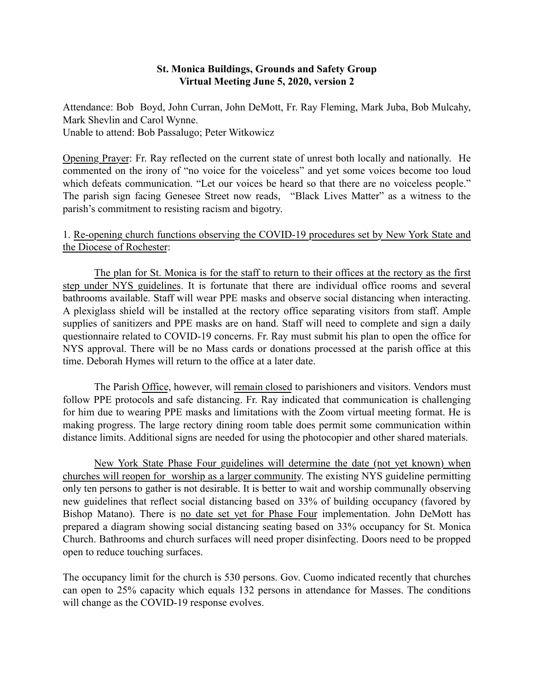### St. Monica Buildings, Grounds and Safety Group Virtual Meeting June 5, 2020, version 2

Attendance: Bob Boyd, John Curran, John DeMott, Fr. Ray Fleming, Mark Juba, Bob Mulcahy, Mark Shevlin and Carol Wynne. Unable to attend: Bob Passalugo; Peter Witkowicz

Opening Prayer: Fr. Ray reflected on the current state of unrest both locally and nationally. He commented on the irony of "no voice for the voiceless" and yet some voices become too loud which defeats communication. "Let our voices be heard so that there are no voiceless people." The parish sign facing Genesee Street now reads, "Black Lives Matter" as a witness to the parish's commitment to resisting racism and bigotry.

### 1. Re-opening church functions observing the COVID-19 procedures set by New York State and the Diocese of Rochester:

The plan for St. Monica is for the staff to return to their offices at the rectory as the first step under NYS guidelines. It is fortunate that there are individual office rooms and several bathrooms available. Staff will wear PPE masks and observe social distancing when interacting. A plexiglass shield will be installed at the rectory office separating visitors from staff. Ample supplies of sanitizers and PPE masks are on hand. Staff will need to complete and sign a daily questionnaire related to COVID-19 concerns. Fr. Ray must submit his plan to open the office for NYS approval. There will be no Mass cards or donations processed at the parish office at this time. Deborah Hymes will return to the office at a later date.

The Parish Office, however, will remain closed to parishioners and visitors. Vendors must follow PPE protocols and safe distancing. Fr. Ray indicated that communication is challenging for him due to wearing PPE masks and limitations with the Zoom virtual meeting format. He is making progress. The large rectory dining room table does permit some communication within distance limits. Additional signs are needed for using the photocopier and other shared materials.

New York State Phase Four guidelines will determine the date (not yet known) when churches will reopen for worship as a larger community. The existing NYS guideline permitting only ten persons to gather is not desirable. It is better to wait and worship communally observing new guidelines that reflect social distancing based on 33% of building occupancy (favored by Bishop Matano). There is no date set yet for Phase Four implementation. John DeMott has prepared a diagram showing social distancing seating based on 33% occupancy for St. Monica Church. Bathrooms and church surfaces will need proper disinfecting. Doors need to be propped open to reduce touching surfaces.

The occupancy limit for the church is 530 persons. Gov. Cuomo indicated recently that churches can open to 25% capacity which equals 132 persons in attendance for Masses. The conditions will change as the COVID-19 response evolves.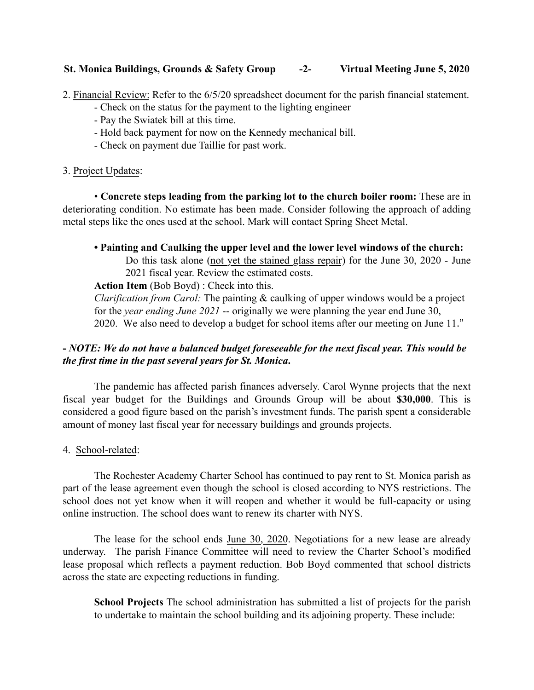## St. Monica Buildings, Grounds & Safety Group -2- Virtual Meeting June 5, 2020

2. Financial Review: Refer to the 6/5/20 spreadsheet document for the parish financial statement.

- Check on the status for the payment to the lighting engineer
- Pay the Swiatek bill at this time.
- Hold back payment for now on the Kennedy mechanical bill.
- Check on payment due Taillie for past work.

### 3. Project Updates:

• Concrete steps leading from the parking lot to the church boiler room: These are in deteriorating condition. No estimate has been made. Consider following the approach of adding metal steps like the ones used at the school. Mark will contact Spring Sheet Metal.

# • Painting and Caulking the upper level and the lower level windows of the church:

Do this task alone (not yet the stained glass repair) for the June 30, 2020 - June 2021 fiscal year. Review the estimated costs.

Action Item (Bob Boyd) : Check into this.

*Clarification from Carol:* The painting & caulking of upper windows would be a project for the *year ending June 2021* -- originally we were planning the year end June 30, 2020. We also need to develop a budget for school items after our meeting on June 11."

# - *NOTE: We do not have a balanced budget foreseeable for the next fiscal year. This would be the first time in the past several years for St. Monica*.

The pandemic has affected parish finances adversely. Carol Wynne projects that the next fiscal year budget for the Buildings and Grounds Group will be about \$30,000. This is considered a good figure based on the parish's investment funds. The parish spent a considerable amount of money last fiscal year for necessary buildings and grounds projects.

### 4. School-related:

The Rochester Academy Charter School has continued to pay rent to St. Monica parish as part of the lease agreement even though the school is closed according to NYS restrictions. The school does not yet know when it will reopen and whether it would be full-capacity or using online instruction. The school does want to renew its charter with NYS.

The lease for the school ends June 30, 2020. Negotiations for a new lease are already underway. The parish Finance Committee will need to review the Charter School's modified lease proposal which reflects a payment reduction. Bob Boyd commented that school districts across the state are expecting reductions in funding.

School Projects The school administration has submitted a list of projects for the parish to undertake to maintain the school building and its adjoining property. These include: